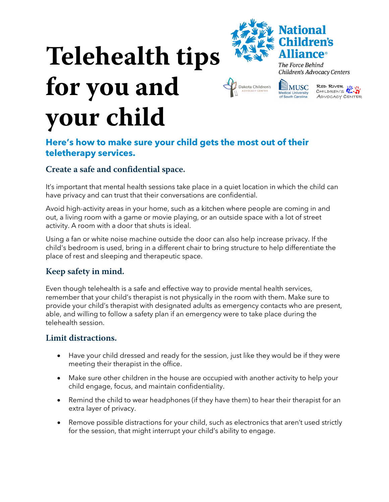# **Telehealth tips for you and your child**



Dakota Children's

The Force Behind Children's Advocacy Centers



## **Here's how to make sure your child gets the most out of their teletherapy services.**

## **Create a safe and confidential space.**

It's important that mental health sessions take place in a quiet location in which the child can have privacy and can trust that their conversations are confidential.

Avoid high-activity areas in your home, such as a kitchen where people are coming in and out, a living room with a game or movie playing, or an outside space with a lot of street activity. A room with a door that shuts is ideal.

Using a fan or white noise machine outside the door can also help increase privacy. If the child's bedroom is used, bring in a different chair to bring structure to help differentiate the place of rest and sleeping and therapeutic space.

## **Keep safety in mind.**

Even though telehealth is a safe and effective way to provide mental health services, remember that your child's therapist is not physically in the room with them. Make sure to provide your child's therapist with designated adults as emergency contacts who are present, able, and willing to follow a safety plan if an emergency were to take place during the telehealth session.

### **Limit distractions.**

- Have your child dressed and ready for the session, just like they would be if they were meeting their therapist in the office.
- Make sure other children in the house are occupied with another activity to help your child engage, focus, and maintain confidentiality.
- Remind the child to wear headphones (if they have them) to hear their therapist for an extra layer of privacy.
- Remove possible distractions for your child, such as electronics that aren't used strictly for the session, that might interrupt your child's ability to engage.